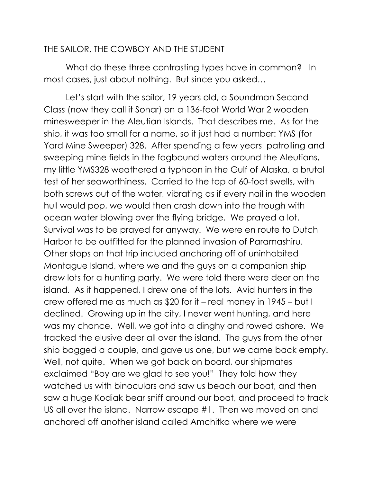## THE SAILOR, THE COWBOY AND THE STUDENT

What do these three contrasting types have in common? In most cases, just about nothing. But since you asked…

 Let's start with the sailor, 19 years old, a Soundman Second Class (now they call it Sonar) on a 136-foot World War 2 wooden minesweeper in the Aleutian Islands. That describes me. As for the ship, it was too small for a name, so it just had a number: YMS (for Yard Mine Sweeper) 328. After spending a few years patrolling and sweeping mine fields in the fogbound waters around the Aleutians, my little YMS328 weathered a typhoon in the Gulf of Alaska, a brutal test of her seaworthiness. Carried to the top of 60-foot swells, with both screws out of the water, vibrating as if every nail in the wooden hull would pop, we would then crash down into the trough with ocean water blowing over the flying bridge. We prayed a lot. Survival was to be prayed for anyway. We were en route to Dutch Harbor to be outfitted for the planned invasion of Paramashiru. Other stops on that trip included anchoring off of uninhabited Montague Island, where we and the guys on a companion ship drew lots for a hunting party. We were told there were deer on the island. As it happened, I drew one of the lots. Avid hunters in the crew offered me as much as \$20 for it – real money in 1945 – but I declined. Growing up in the city, I never went hunting, and here was my chance. Well, we got into a dinghy and rowed ashore. We tracked the elusive deer all over the island. The guys from the other ship bagged a couple, and gave us one, but we came back empty. Well, not quite. When we got back on board, our shipmates exclaimed "Boy are we glad to see you!" They told how they watched us with binoculars and saw us beach our boat, and then saw a huge Kodiak bear sniff around our boat, and proceed to track US all over the island. Narrow escape #1. Then we moved on and anchored off another island called Amchitka where we were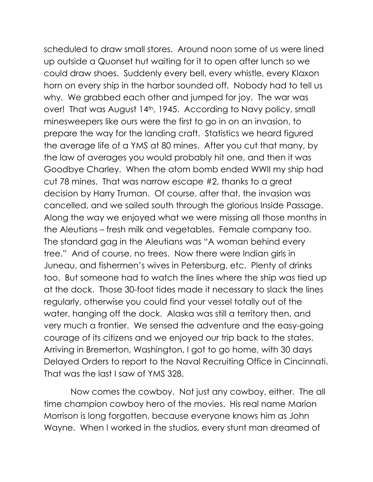scheduled to draw small stores. Around noon some of us were lined up outside a Quonset hut waiting for it to open after lunch so we could draw shoes. Suddenly every bell, every whistle, every Klaxon horn on every ship in the harbor sounded off. Nobody had to tell us why. We grabbed each other and jumped for joy. The war was over! That was August 14<sup>th</sup>, 1945. According to Navy policy, small minesweepers like ours were the first to go in on an invasion, to prepare the way for the landing craft. Statistics we heard figured the average life of a YMS at 80 mines. After you cut that many, by the law of averages you would probably hit one, and then it was Goodbye Charley. When the atom bomb ended WWII my ship had cut 78 mines. That was narrow escape #2, thanks to a great decision by Harry Truman. Of course, after that, the invasion was cancelled, and we sailed south through the glorious Inside Passage. Along the way we enjoyed what we were missing all those months in the Aleutians – fresh milk and vegetables. Female company too. The standard gag in the Aleutians was "A woman behind every tree." And of course, no trees. Now there were Indian girls in Juneau, and fishermen's wives in Petersburg, etc. Plenty of drinks too. But someone had to watch the lines where the ship was tied up at the dock. Those 30-foot tides made it necessary to slack the lines regularly, otherwise you could find your vessel totally out of the water, hanging off the dock. Alaska was still a territory then, and very much a frontier. We sensed the adventure and the easy-going courage of its citizens and we enjoyed our trip back to the states. Arriving in Bremerton, Washington, I got to go home, with 30 days Delayed Orders to report to the Naval Recruiting Office in Cincinnati. That was the last I saw of YMS 328.

 Now comes the cowboy. Not just any cowboy, either. The all time champion cowboy hero of the movies. His real name Marion Morrison is long forgotten, because everyone knows him as John Wayne. When I worked in the studios, every stunt man dreamed of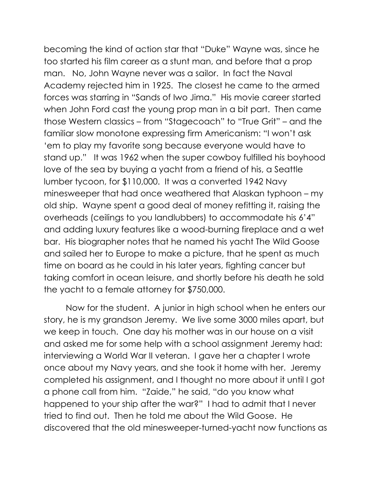becoming the kind of action star that "Duke" Wayne was, since he too started his film career as a stunt man, and before that a prop man. No, John Wayne never was a sailor. In fact the Naval Academy rejected him in 1925. The closest he came to the armed forces was starring in "Sands of Iwo Jima." His movie career started when John Ford cast the young prop man in a bit part. Then came those Western classics – from "Stagecoach" to "True Grit" – and the familiar slow monotone expressing firm Americanism: "I won't ask 'em to play my favorite song because everyone would have to stand up." It was 1962 when the super cowboy fulfilled his boyhood love of the sea by buying a yacht from a friend of his, a Seattle lumber tycoon, for \$110,000. It was a converted 1942 Navy minesweeper that had once weathered that Alaskan typhoon – my old ship. Wayne spent a good deal of money refitting it, raising the overheads (ceilings to you landlubbers) to accommodate his 6'4" and adding luxury features like a wood-burning fireplace and a wet bar. His biographer notes that he named his yacht The Wild Goose and sailed her to Europe to make a picture, that he spent as much time on board as he could in his later years, fighting cancer but taking comfort in ocean leisure, and shortly before his death he sold the yacht to a female attorney for \$750,000.

 Now for the student. A junior in high school when he enters our story, he is my grandson Jeremy. We live some 3000 miles apart, but we keep in touch. One day his mother was in our house on a visit and asked me for some help with a school assignment Jeremy had: interviewing a World War II veteran. I gave her a chapter I wrote once about my Navy years, and she took it home with her. Jeremy completed his assignment, and I thought no more about it until I got a phone call from him. "Zaide," he said, "do you know what happened to your ship after the war?" I had to admit that I never tried to find out. Then he told me about the Wild Goose. He discovered that the old minesweeper-turned-yacht now functions as